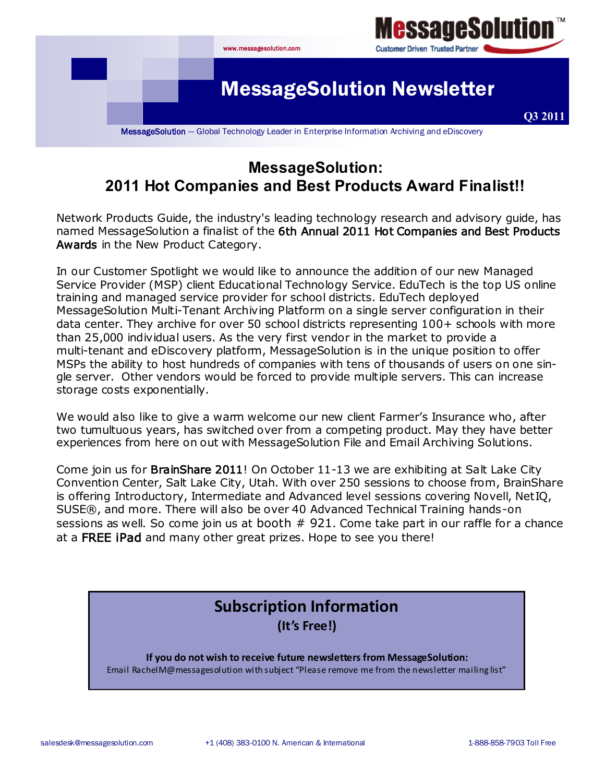

# **MessageSolution: 2011 Hot Companies and Best Products Award Finalist!!**

Network Products Guide, the industry's leading technology research and advisory guide, has named MessageSolution a finalist of the 6th Annual 2011 Hot Companies and Best Products Awards in the New Product Category.

In our Customer Spotlight we would like to announce the addition of our new Managed Service Provider (MSP) client Educational Technology Service. EduTech is the top US online training and managed service provider for school districts. EduTech deployed MessageSolution Multi-Tenant Archiving Platform on a single server configuration in their data center. They archive for over 50 school districts representing 100+ schools with more than 25,000 individual users. As the very first vendor in the market to provide a multi-tenant and eDiscovery platform, MessageSolution is in the unique position to offer MSPs the ability to host hundreds of companies with tens of thousands of users on one single server. Other vendors would be forced to provide multiple servers. This can increase storage costs exponentially.

We would also like to give a warm welcome our new client Farmer's Insurance who, after two tumultuous years, has switched over from a competing product. May they have better experiences from here on out with MessageSolution File and Email Archiving Solutions.

Come join us for **BrainShare 2011**! On October 11-13 we are exhibiting at Salt Lake City Convention Center, Salt Lake City, Utah. With over 250 sessions to choose from, BrainShare is offering Introductory, Intermediate and Advanced level sessions covering Novell, NetIQ, SUSE®, and more. There will also be over 40 Advanced Technical Training hands-on sessions as well. So come join us at booth  $#$  921. Come take part in our raffle for a chance at a FREE iPad and many other great prizes. Hope to see you there!

# **Subscription Information (It's Free!)**

**If you do not wish to receive future newsletters from MessageSolution:** Email RachelM@messagesolution with subject "Please remove me from the newsletter mailing list"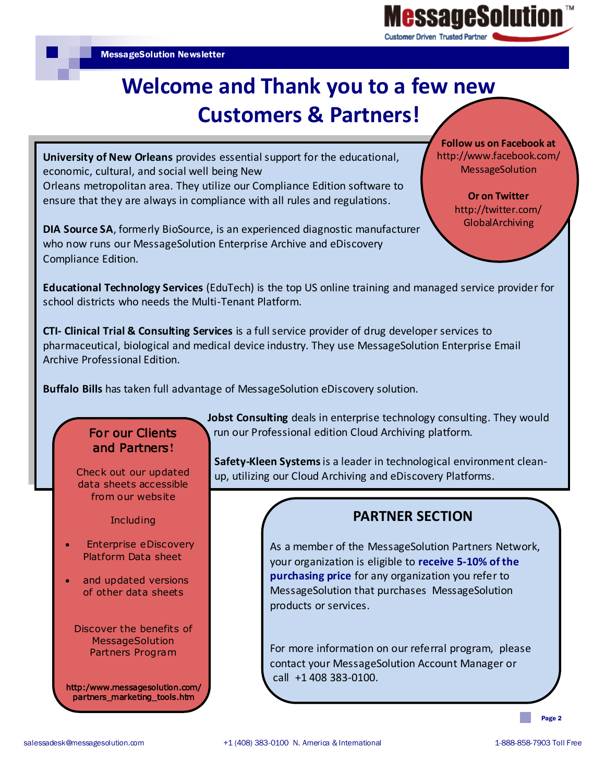

# **Welcome and Thank you to a few new Customers & Partners!**

**University of New Orleans** provides essential support for the educational, economic, cultural, and social well being New

Orleans metropolitan area. They utilize our Compliance Edition software to ensure that they are always in compliance with all rules and regulations.

**DIA Source SA**, formerly BioSource, is an experienced diagnostic manufacturer who now runs our MessageSolution Enterprise Archive and eDiscovery Compliance Edition.

**Follow us on Facebook at** http://www.facebook.com/ **MessageSolution** 

> **Or on Twitter**  http://twitter.com/ GlobalArchiving

**Educational Technology Services** (EduTech) is the top US online training and managed service provider for school districts who needs the Multi-Tenant Platform.

**CTI- Clinical Trial & Consulting Services** is a full service provider of drug developer services to pharmaceutical, biological and medical device industry. They use MessageSolution Enterprise Email Archive Professional Edition.

**Buffalo Bills** has taken full advantage of MessageSolution eDiscovery solution.

## For our Clients and Partners**!**

Check out our updated data sheets accessible from our website

**Including** 

- Enterprise eDiscovery Platform Data sheet
- and updated versions of other data sheets

Discover the benefits of **MessageSolution** Partners Program

http:/www.messagesolution.com/ partners\_marketing\_tools.htm

**Jobst Consulting** deals in enterprise technology consulting. They would run our Professional edition Cloud Archiving platform.

**Safety-Kleen Systems** is a leader in technological environment cleanup, utilizing our Cloud Archiving and eDiscovery Platforms.

#### **PARTNER SECTION**

As a member of the MessageSolution Partners Network, your organization is eligible to **receive 5-10% of the purchasing price** for any organization you refer to MessageSolution that purchases MessageSolution products or services.

For more information on our referral program, please contact your MessageSolution Account Manager or call +1 408 383-0100.